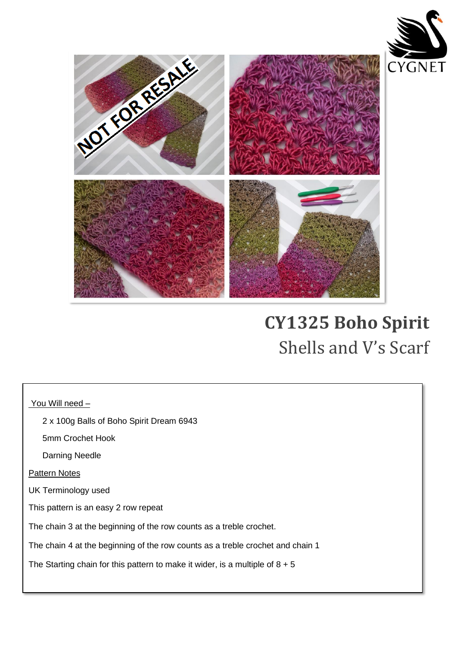



## **CY1325 Boho Spirit**  Shells and V's Scarf

You Will need -

2 x 100g Balls of Boho Spirit Dream 6943

5mm Crochet Hook

Darning Needle

Pattern Notes

UK Terminology used

This pattern is an easy 2 row repeat

The chain 3 at the beginning of the row counts as a treble crochet.

The chain 4 at the beginning of the row counts as a treble crochet and chain 1

The Starting chain for this pattern to make it wider, is a multiple of  $8 + 5$